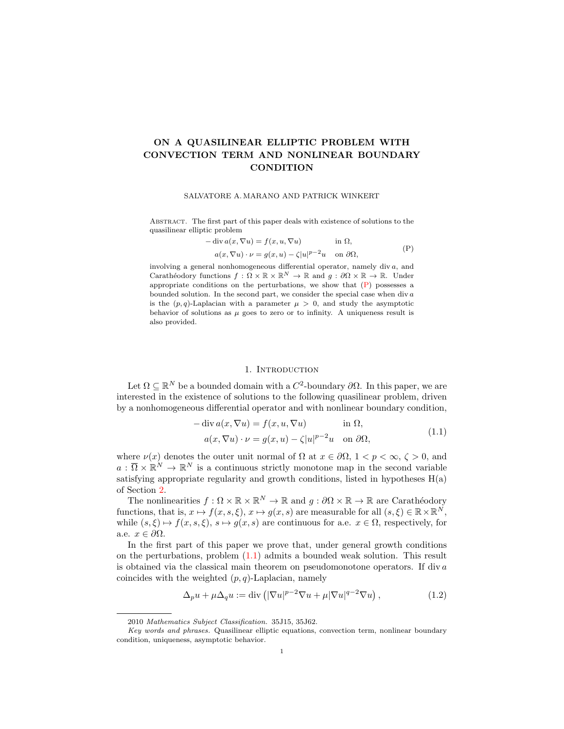# ON A QUASILINEAR ELLIPTIC PROBLEM WITH CONVECTION TERM AND NONLINEAR BOUNDARY **CONDITION**

#### SALVATORE A. MARANO AND PATRICK WINKERT

Abstract. The first part of this paper deals with existence of solutions to the quasilinear elliptic problem

<span id="page-0-0"></span>
$$
- \operatorname{div} a(x, \nabla u) = f(x, u, \nabla u) \qquad \text{in } \Omega,
$$
  
\n
$$
a(x, \nabla u) \cdot \nu = g(x, u) - \zeta |u|^{p-2} u \qquad \text{on } \partial \Omega,
$$
 (P)

involving a general nonhomogeneous differential operator, namely div a, and Carathéodory functions  $f : \Omega \times \mathbb{R} \times \mathbb{R}^N \to \mathbb{R}$  and  $g : \partial \Omega \times \mathbb{R} \to \mathbb{R}$ . Under appropriate conditions on the perturbations, we show that  $(P)$  possesses a bounded solution. In the second part, we consider the special case when div a is the  $(p, q)$ -Laplacian with a parameter  $\mu > 0$ , and study the asymptotic behavior of solutions as  $\mu$  goes to zero or to infinity. A uniqueness result is also provided.

### 1. INTRODUCTION

Let  $\Omega \subseteq \mathbb{R}^N$  be a bounded domain with a  $C^2$ -boundary  $\partial\Omega$ . In this paper, we are interested in the existence of solutions to the following quasilinear problem, driven by a nonhomogeneous differential operator and with nonlinear boundary condition,

<span id="page-0-1"></span>
$$
- \operatorname{div} a(x, \nabla u) = f(x, u, \nabla u) \qquad \text{in } \Omega,
$$
  
\n
$$
a(x, \nabla u) \cdot \nu = g(x, u) - \zeta |u|^{p-2} u \quad \text{on } \partial \Omega,
$$
\n(1.1)

where  $\nu(x)$  denotes the outer unit normal of  $\Omega$  at  $x \in \partial \Omega$ ,  $1 < p < \infty$ ,  $\zeta > 0$ , and  $a: \overline{\Omega} \times \mathbb{R}^N \to \mathbb{R}^N$  is a continuous strictly monotone map in the second variable satisfying appropriate regularity and growth conditions, listed in hypotheses  $H(a)$ of Section [2.](#page-1-0)

The nonlinearities  $f : \Omega \times \mathbb{R} \times \mathbb{R}^N \to \mathbb{R}$  and  $g : \partial \Omega \times \mathbb{R} \to \mathbb{R}$  are Carathéodory functions, that is,  $x \mapsto f(x, s, \xi), x \mapsto g(x, s)$  are measurable for all  $(s, \xi) \in \mathbb{R} \times \mathbb{R}^{N}$ , while  $(s, \xi) \mapsto f(x, s, \xi), s \mapsto g(x, s)$  are continuous for a.e.  $x \in \Omega$ , respectively, for a.e.  $x \in \partial\Omega$ .

In the first part of this paper we prove that, under general growth conditions on the perturbations, problem [\(1.1\)](#page-0-1) admits a bounded weak solution. This result is obtained via the classical main theorem on pseudomonotone operators. If div  $a$ coincides with the weighted  $(p, q)$ -Laplacian, namely

<span id="page-0-2"></span>
$$
\Delta_p u + \mu \Delta_q u := \text{div}\left( |\nabla u|^{p-2} \nabla u + \mu |\nabla u|^{q-2} \nabla u \right),\tag{1.2}
$$

<sup>2010</sup> Mathematics Subject Classification. 35J15, 35J62.

Key words and phrases. Quasilinear elliptic equations, convection term, nonlinear boundary condition, uniqueness, asymptotic behavior.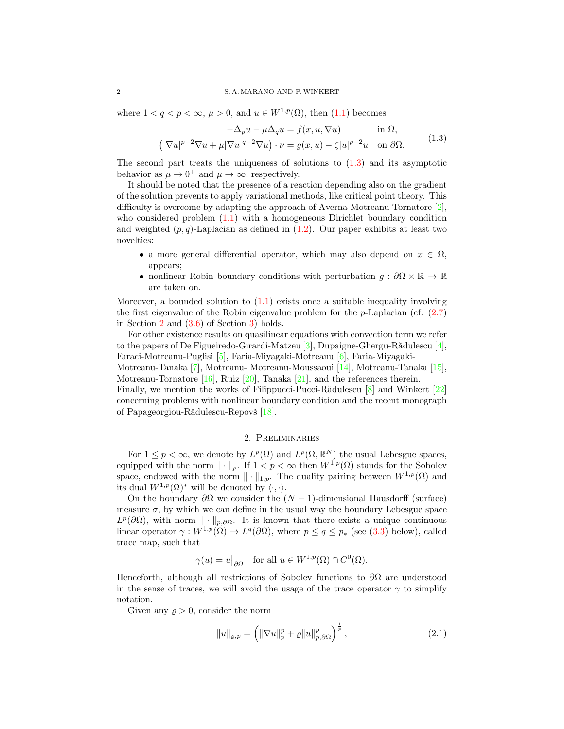where  $1 < q < p < \infty$ ,  $\mu > 0$ , and  $u \in W^{1,p}(\Omega)$ , then  $(1.1)$  becomes

<span id="page-1-1"></span>
$$
-\Delta_p u - \mu \Delta_q u = f(x, u, \nabla u) \quad \text{in } \Omega,
$$
  

$$
(|\nabla u|^{p-2} \nabla u + \mu |\nabla u|^{q-2} \nabla u) \cdot \nu = g(x, u) - \zeta |u|^{p-2} u \quad \text{on } \partial \Omega.
$$
 (1.3)

The second part treats the uniqueness of solutions to  $(1.3)$  and its asymptotic behavior as  $\mu \to 0^+$  and  $\mu \to \infty$ , respectively.

It should be noted that the presence of a reaction depending also on the gradient of the solution prevents to apply variational methods, like critical point theory. This difficulty is overcome by adapting the approach of Averna-Motreanu-Tornatore [\[2\]](#page-10-0), who considered problem  $(1.1)$  with a homogeneous Dirichlet boundary condition and weighted  $(p, q)$ -Laplacian as defined in  $(1.2)$ . Our paper exhibits at least two novelties:

- a more general differential operator, which may also depend on  $x \in \Omega$ , appears;
- nonlinear Robin boundary conditions with perturbation  $g : \partial\Omega \times \mathbb{R} \to \mathbb{R}$ are taken on.

Moreover, a bounded solution to  $(1.1)$  exists once a suitable inequality involving the first eigenvalue of the Robin eigenvalue problem for the  $p$ -Laplacian (cf.  $(2.7)$ ) in Section [2](#page-1-0) and  $(3.6)$  of Section [3\)](#page-4-1) holds.

For other existence results on quasilinear equations with convection term we refer to the papers of De Figueiredo-Girardi-Matzeu [\[3\]](#page-10-1), Dupaigne-Ghergu-Rădulescu [\[4\]](#page-10-2), Faraci-Motreanu-Puglisi [\[5\]](#page-10-3), Faria-Miyagaki-Motreanu [\[6\]](#page-10-4), Faria-Miyagaki-

Motreanu-Tanaka [\[7\]](#page-10-5), Motreanu- Motreanu-Moussaoui [\[14\]](#page-11-0), Motreanu-Tanaka [\[15\]](#page-11-1), Motreanu-Tornatore [\[16\]](#page-11-2), Ruiz [\[20\]](#page-11-3), Tanaka [\[21\]](#page-11-4), and the references therein.

Finally, we mention the works of Filippucci-Pucci-R $\delta$ dulescu [\[8\]](#page-11-5) and Winkert [\[22\]](#page-11-6) concerning problems with nonlinear boundary condition and the recent monograph of Papageorgiou-Rădulescu-Repovš [\[18\]](#page-11-7).

### 2. Preliminaries

<span id="page-1-0"></span>For  $1 \leq p < \infty$ , we denote by  $L^p(\Omega)$  and  $L^p(\Omega, \mathbb{R}^N)$  the usual Lebesgue spaces, equipped with the norm  $\|\cdot\|_p$ . If  $1 < p < \infty$  then  $W^{1,p}(\Omega)$  stands for the Sobolev space, endowed with the norm  $\|\cdot\|_{1,p}$ . The duality pairing between  $W^{1,p}(\Omega)$  and its dual  $W^{1,p}(\Omega)^*$  will be denoted by  $\langle \cdot, \cdot \rangle$ .

On the boundary  $\partial\Omega$  we consider the  $(N-1)$ -dimensional Hausdorff (surface) measure  $\sigma$ , by which we can define in the usual way the boundary Lebesgue space  $L^p(\partial\Omega)$ , with norm  $\|\cdot\|_{p,\partial\Omega}$ . It is known that there exists a unique continuous linear operator  $\gamma: W^{1,p}(\Omega) \to L^q(\partial\Omega)$ , where  $p \leq q \leq p_*$  (see [\(3.3\)](#page-4-2) below), called trace map, such that

$$
\gamma(u) = u|_{\partial\Omega}
$$
 for all  $u \in W^{1,p}(\Omega) \cap C^0(\overline{\Omega})$ .

Henceforth, although all restrictions of Sobolev functions to  $\partial\Omega$  are understood in the sense of traces, we will avoid the usage of the trace operator  $\gamma$  to simplify notation.

Given any  $\rho > 0$ , consider the norm

<span id="page-1-2"></span>
$$
||u||_{\varrho,p} = \left( ||\nabla u||_p^p + \varrho ||u||_{p,\partial\Omega}^p \right)^{\frac{1}{p}},
$$
\n(2.1)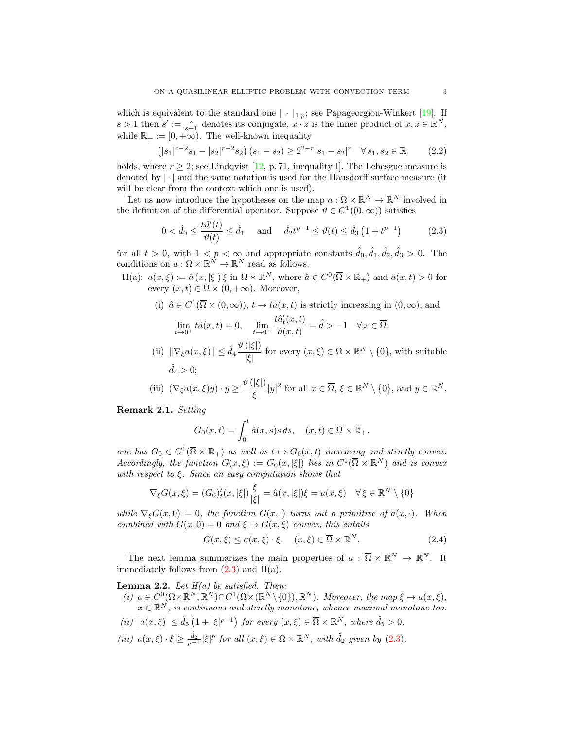which is equivalent to the standard one  $\|\cdot\|_{1,p}$ ; see Papageorgiou-Winkert [\[19\]](#page-11-8). If  $s > 1$  then  $s' := \frac{s}{s-1}$  denotes its conjugate,  $x \cdot z$  is the inner product of  $x, z \in \mathbb{R}^N$ , while  $\mathbb{R}_+ := [0, +\infty)$ . The well-known inequality

<span id="page-2-3"></span>
$$
(|s_1|^{r-2}s_1 - |s_2|^{r-2}s_2)(s_1 - s_2) \ge 2^{2-r}|s_1 - s_2|^r \quad \forall s_1, s_2 \in \mathbb{R}
$$
 (2.2)

holds, where  $r \geq 2$ ; see Lindqvist [\[12,](#page-11-9) p. 71, inequality I]. The Lebesgue measure is denoted by  $|\cdot|$  and the same notation is used for the Hausdorff surface measure (it will be clear from the context which one is used).

Let us now introduce the hypotheses on the map  $a: \overline{\Omega} \times \mathbb{R}^N \to \mathbb{R}^N$  involved in the definition of the differential operator. Suppose  $\vartheta \in C^1((0,\infty))$  satisfies

<span id="page-2-0"></span>
$$
0 < \hat{d}_0 \le \frac{t\vartheta'(t)}{\vartheta(t)} \le \hat{d}_1 \quad \text{and} \quad \hat{d}_2 t^{p-1} \le \vartheta(t) \le \hat{d}_3 \left( 1 + t^{p-1} \right) \tag{2.3}
$$

for all  $t > 0$ , with  $1 < p < \infty$  and appropriate constants  $\hat{d}_0, \hat{d}_1, \hat{d}_2, \hat{d}_3 > 0$ . The conditions on  $a: \overline{\Omega} \times \mathbb{R}^{\overline{N}} \to \mathbb{R}^N$  read as follows.

H(a): 
$$
a(x,\xi) := \hat{a}(x,|\xi|)\xi
$$
 in  $\Omega \times \mathbb{R}^N$ , where  $\hat{a} \in C^0(\overline{\Omega} \times \mathbb{R}_+)$  and  $\hat{a}(x,t) > 0$  for  
every  $(x,t) \in \overline{\Omega} \times (0,+\infty)$ . Moreover,

(i) 
$$
\hat{a} \in C^1(\overline{\Omega} \times (0, \infty))
$$
,  $t \to t\hat{a}(x, t)$  is strictly increasing in  $(0, \infty)$ , and

$$
\lim_{t \to 0^+} t \hat{a}(x, t) = 0, \quad \lim_{t \to 0^+} \frac{t \hat{a}_t'(x, t)}{\hat{a}(x, t)} = \hat{d} > -1 \quad \forall x \in \overline{\Omega};
$$

(ii)  $\|\nabla_{\xi}a(x,\xi)\| \leq \hat{d}_4 \frac{\vartheta(|\xi|)}{|\xi|}$  $\frac{(|S|)}{|\xi|}$  for every  $(x,\xi) \in \overline{\Omega} \times \mathbb{R}^N \setminus \{0\}$ , with suitable  $\hat{d}_4 > 0$ :

(iii) 
$$
(\nabla_{\xi}a(x,\xi)y)\cdot y \ge \frac{\vartheta(|\xi|)}{|\xi|}|y|^2
$$
 for all  $x \in \overline{\Omega}$ ,  $\xi \in \mathbb{R}^N \setminus \{0\}$ , and  $y \in \mathbb{R}^N$ .

Remark 2.1. Setting

$$
G_0(x,t) = \int_0^t \hat{a}(x,s)s \, ds, \quad (x,t) \in \overline{\Omega} \times \mathbb{R}_+,
$$

one has  $G_0 \in C^1(\overline{\Omega} \times \mathbb{R}_+)$  as well as  $t \mapsto G_0(x,t)$  increasing and strictly convex. Accordingly, the function  $G(x,\xi) := G_0(x,|\xi|)$  lies in  $C^1(\overline{\Omega} \times \mathbb{R}^N)$  and is convex with respect to  $\xi$ . Since an easy computation shows that

$$
\nabla_{\xi} G(x,\xi) = (G_0)'_t(x,|\xi|) \frac{\xi}{|\xi|} = \hat{a}(x,|\xi|) \xi = a(x,\xi) \quad \forall \xi \in \mathbb{R}^N \setminus \{0\}
$$

while  $\nabla_{\xi}G(x,0) = 0$ , the function  $G(x, \cdot)$  turns out a primitive of  $a(x, \cdot)$ . When combined with  $G(x, 0) = 0$  and  $\xi \mapsto G(x, \xi)$  convex, this entails

<span id="page-2-2"></span>
$$
G(x,\xi) \le a(x,\xi) \cdot \xi, \quad (x,\xi) \in \overline{\Omega} \times \mathbb{R}^N. \tag{2.4}
$$

The next lemma summarizes the main properties of  $a : \overline{\Omega} \times \mathbb{R}^N \to \mathbb{R}^N$ . It immediately follows from  $(2.3)$  and  $H(a)$ .

<span id="page-2-1"></span>**Lemma 2.2.** Let  $H(a)$  be satisfied. Then:

- (i)  $a \in C^0(\overline{\Omega} \times \mathbb{R}^N, \mathbb{R}^N) \cap C^1(\overline{\Omega} \times (\mathbb{R}^N \setminus \{0\}), \mathbb{R}^N)$ . Moreover, the map  $\xi \mapsto a(x, \xi)$ ,  $x \in \mathbb{R}^N$ , is continuous and strictly monotone, whence maximal monotone too.
- (ii)  $|a(x,\xi)| \leq \hat{d}_5 \left(1 + |\xi|^{p-1}\right)$  for every  $(x,\xi) \in \overline{\Omega} \times \mathbb{R}^N$ , where  $\hat{d}_5 > 0$ .
- (iii)  $a(x,\xi)\cdot\xi\geq \frac{\hat{d}_2}{p-1}|\xi|^p$  for all  $(x,\xi)\in\overline{\Omega}\times\mathbb{R}^N$ , with  $\hat{d}_2$  given by [\(2.3\)](#page-2-0).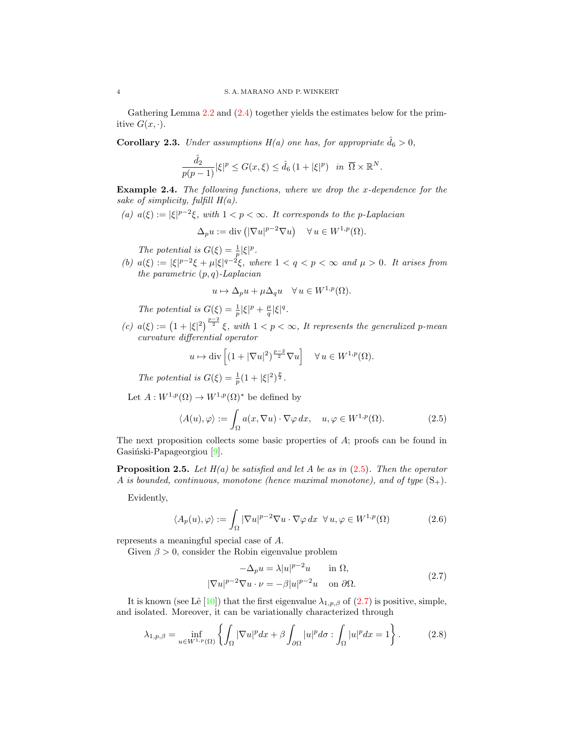Gathering Lemma [2.2](#page-2-1) and [\(2.4\)](#page-2-2) together yields the estimates below for the primitive  $G(x, \cdot)$ .

**Corollary 2.3.** Under assumptions  $H(a)$  one has, for appropriate  $\hat{d}_6 > 0$ ,

$$
\frac{\hat{d}_2}{p(p-1)}|\xi|^p \le G(x,\xi) \le \hat{d}_6 (1+|\xi|^p) \quad \text{in } \overline{\Omega} \times \mathbb{R}^N.
$$

<span id="page-3-3"></span>**Example 2.4.** The following functions, where we drop the x-dependence for the sake of simplicity, fulfill  $H(a)$ .

(a)  $a(\xi) := |\xi|^{p-2}\xi$ , with  $1 < p < \infty$ . It corresponds to the p-Laplacian

$$
\Delta_p u := \text{div} \left( |\nabla u|^{p-2} \nabla u \right) \quad \forall \, u \in W^{1,p}(\Omega).
$$

The potential is  $G(\xi) = \frac{1}{p} |\xi|^p$ .

(b)  $a(\xi) := |\xi|^{p-2}\xi + \mu |\xi|^{q-2}\xi$ , where  $1 < q < p < \infty$  and  $\mu > 0$ . It arises from the parametric  $(p, q)$ -Laplacian

$$
u \mapsto \Delta_p u + \mu \Delta_q u \quad \forall u \in W^{1,p}(\Omega).
$$

The potential is  $G(\xi) = \frac{1}{p} |\xi|^p + \frac{\mu}{q} |\xi|^q$ .

(c)  $a(\xi) := (1 + |\xi|^2)^{\frac{p-2}{2}} \xi$ , with  $1 < p < \infty$ , It represents the generalized p-mean curvature differential operator

<span id="page-3-1"></span>
$$
u \mapsto \text{div}\left[ (1 + |\nabla u|^2)^{\frac{p-2}{2}} \nabla u \right] \quad \forall u \in W^{1,p}(\Omega).
$$

The potential is  $G(\xi) = \frac{1}{p}(1 + |\xi|^2)^{\frac{p}{2}}$ .

Let  $A:W^{1,p}(\Omega)\rightarrow W^{1,p}(\Omega)^{*}$  be defined by

$$
\langle A(u), \varphi \rangle := \int_{\Omega} a(x, \nabla u) \cdot \nabla \varphi \, dx, \quad u, \varphi \in W^{1, p}(\Omega). \tag{2.5}
$$

The next proposition collects some basic properties of A; proofs can be found in Gasiński-Papageorgiou [\[9\]](#page-11-10).

**Proposition 2.5.** Let  $H(a)$  be satisfied and let A be as in  $(2.5)$ . Then the operator A is bounded, continuous, monotone (hence maximal monotone), and of type  $(S_+)$ .

Evidently,

<span id="page-3-4"></span>
$$
\langle A_p(u), \varphi \rangle := \int_{\Omega} |\nabla u|^{p-2} \nabla u \cdot \nabla \varphi \, dx \ \forall u, \varphi \in W^{1,p}(\Omega)
$$
 (2.6)

represents a meaningful special case of A.

Given  $\beta > 0$ , consider the Robin eigenvalue problem

<span id="page-3-2"></span><span id="page-3-0"></span>
$$
-\Delta_p u = \lambda |u|^{p-2}u \quad \text{in } \Omega,
$$
  

$$
|\nabla u|^{p-2}\nabla u \cdot \nu = -\beta |u|^{p-2}u \quad \text{on } \partial\Omega.
$$
 (2.7)

It is known (see Lê [\[10\]](#page-11-11)) that the first eigenvalue  $\lambda_{1,p,\beta}$  of [\(2.7\)](#page-3-0) is positive, simple, and isolated. Moreover, it can be variationally characterized through

$$
\lambda_{1,p,\beta} = \inf_{u \in W^{1,p}(\Omega)} \left\{ \int_{\Omega} |\nabla u|^p dx + \beta \int_{\partial \Omega} |u|^p d\sigma : \int_{\Omega} |u|^p dx = 1 \right\}.
$$
 (2.8)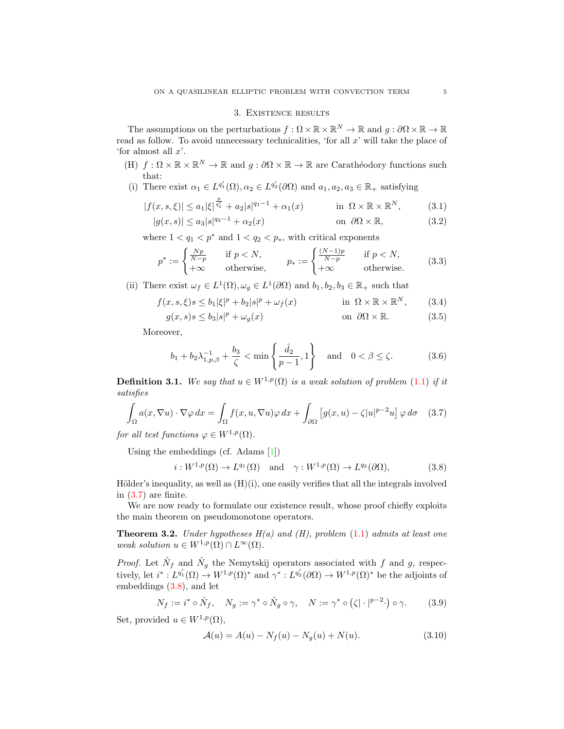### <span id="page-4-6"></span><span id="page-4-5"></span><span id="page-4-2"></span>3. Existence results

<span id="page-4-1"></span>The assumptions on the perturbations  $f: \Omega \times \mathbb{R} \times \mathbb{R}^N \to \mathbb{R}$  and  $g: \partial \Omega \times \mathbb{R} \to \mathbb{R}$ read as follow. To avoid unnecessary technicalities, 'for all  $x$ ' will take the place of 'for almost all  $x$ '.

- (H)  $f: \Omega \times \mathbb{R} \times \mathbb{R}^N \to \mathbb{R}$  and  $g: \partial \Omega \times \mathbb{R} \to \mathbb{R}$  are Carathéodory functions such that:
- (i) There exist  $\alpha_1 \in L^{q'_1}(\Omega), \alpha_2 \in L^{q'_2}(\partial \Omega)$  and  $a_1, a_2, a_3 \in \mathbb{R}_+$  satisfying

$$
|f(x, s, \xi)| \le a_1 |\xi|^{\frac{p}{q_1}} + a_2 |s|^{q_1 - 1} + \alpha_1(x) \quad \text{in } \Omega \times \mathbb{R} \times \mathbb{R}^N, \tag{3.1}
$$

$$
|g(x,s)| \le a_3 |s|^{q_2 - 1} + \alpha_2(x) \qquad \text{on } \partial\Omega \times \mathbb{R}, \tag{3.2}
$$

where  $1 < q_1 < p^*$  and  $1 < q_2 < p_*$ , with critical exponents

$$
p^* := \begin{cases} \frac{Np}{N-p} & \text{if } p < N, \\ +\infty & \text{otherwise,} \end{cases} \qquad p_* := \begin{cases} \frac{(N-1)p}{N-p} & \text{if } p < N, \\ +\infty & \text{otherwise.} \end{cases} \tag{3.3}
$$

(ii) There exist  $\omega_f \in L^1(\Omega), \omega_g \in L^1(\partial\Omega)$  and  $b_1, b_2, b_3 \in \mathbb{R}_+$  such that

$$
f(x, s, \xi)s \le b_1|\xi|^p + b_2|s|^p + \omega_f(x) \qquad \text{in } \Omega \times \mathbb{R} \times \mathbb{R}^N, \qquad (3.4)
$$

$$
g(x,s)s \le b_3|s|^p + \omega_g(x) \qquad \text{on } \partial\Omega \times \mathbb{R}.\tag{3.5}
$$

Moreover,

<span id="page-4-8"></span><span id="page-4-7"></span><span id="page-4-0"></span>
$$
b_1 + b_2 \lambda_{1, p, \beta}^{-1} + \frac{b_3}{\zeta} < \min\left\{\frac{\hat{d}_2}{p-1}, 1\right\} \text{ and } 0 < \beta \le \zeta.
$$
 (3.6)

**Definition 3.1.** We say that  $u \in W^{1,p}(\Omega)$  is a weak solution of problem [\(1.1\)](#page-0-1) if it satisfies

$$
\int_{\Omega} a(x, \nabla u) \cdot \nabla \varphi \, dx = \int_{\Omega} f(x, u, \nabla u) \varphi \, dx + \int_{\partial \Omega} \left[ g(x, u) - \zeta |u|^{p-2} u \right] \varphi \, d\sigma \quad (3.7)
$$

for all test functions  $\varphi \in W^{1,p}(\Omega)$ .

Using the embeddings (cf. Adams [\[1\]](#page-10-6))

<span id="page-4-4"></span><span id="page-4-3"></span>
$$
i: W^{1,p}(\Omega) \to L^{q_1}(\Omega) \quad \text{and} \quad \gamma: W^{1,p}(\Omega) \to L^{q_2}(\partial \Omega), \tag{3.8}
$$

Hölder's inequality, as well as  $(H)(i)$ , one easily verifies that all the integrals involved in [\(3.7\)](#page-4-3) are finite.

We are now ready to formulate our existence result, whose proof chiefly exploits the main theorem on pseudomonotone operators.

<span id="page-4-10"></span>**Theorem 3.2.** Under hypotheses  $H(a)$  and (H), problem [\(1.1\)](#page-0-1) admits at least one weak solution  $u \in W^{1,p}(\Omega) \cap L^{\infty}(\Omega)$ .

*Proof.* Let  $\hat{N}_f$  and  $\hat{N}_g$  the Nemytskij operators associated with f and g, respectively, let  $i^*: L^{q'_1}(\Omega) \to W^{1,p}(\Omega)^*$  and  $\gamma^*: L^{q'_2}(\partial \Omega) \to W^{1,p}(\Omega)^*$  be the adjoints of embeddings [\(3.8\)](#page-4-4), and let

$$
N_f := i^* \circ \hat{N}_f, \quad N_g := \gamma^* \circ \hat{N}_g \circ \gamma, \quad N := \gamma^* \circ (\zeta | \cdot |^{p-2} \cdot) \circ \gamma. \tag{3.9}
$$

Set, provided  $u \in W^{1,p}(\Omega)$ ,

<span id="page-4-11"></span><span id="page-4-9"></span>
$$
\mathcal{A}(u) = A(u) - N_f(u) - N_g(u) + N(u). \tag{3.10}
$$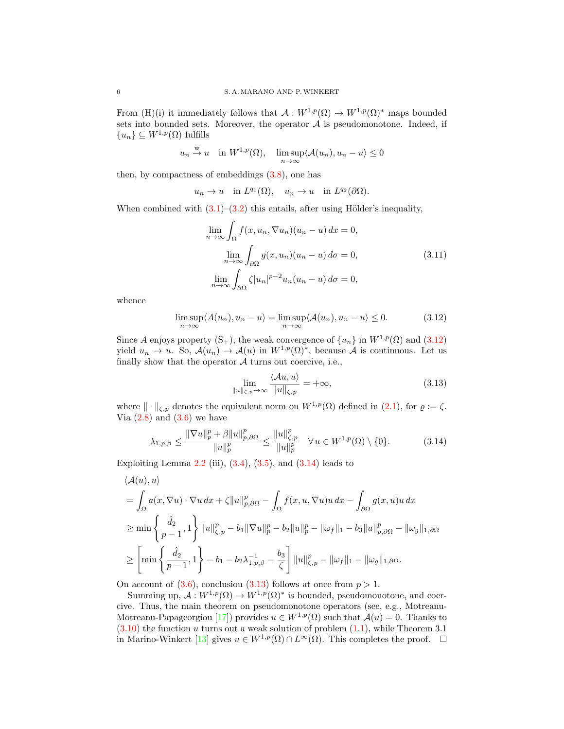From (H)(i) it immediately follows that  $\mathcal{A}: W^{1,p}(\Omega) \to W^{1,p}(\Omega)^*$  maps bounded sets into bounded sets. Moreover, the operator  $A$  is pseudomonotone. Indeed, if  ${u_n}\subseteq W^{1,p}(\Omega)$  fulfills

$$
u_n \stackrel{w}{\to} u
$$
 in  $W^{1,p}(\Omega)$ ,  $\limsup_{n \to \infty} \langle A(u_n), u_n - u \rangle \le 0$ 

then, by compactness of embeddings [\(3.8\)](#page-4-4), one has

$$
u_n \to u
$$
 in  $L^{q_1}(\Omega)$ ,  $u_n \to u$  in  $L^{q_2}(\partial\Omega)$ .

When combined with  $(3.1)–(3.2)$  $(3.1)–(3.2)$  $(3.1)–(3.2)$  this entails, after using Hölder's inequality,

<span id="page-5-3"></span>
$$
\lim_{n \to \infty} \int_{\Omega} f(x, u_n, \nabla u_n)(u_n - u) dx = 0,
$$
  
\n
$$
\lim_{n \to \infty} \int_{\partial \Omega} g(x, u_n)(u_n - u) d\sigma = 0,
$$
  
\n
$$
\lim_{n \to \infty} \int_{\partial \Omega} \zeta |u_n|^{p-2} u_n(u_n - u) d\sigma = 0,
$$
\n(3.11)

whence

$$
\limsup_{n \to \infty} \langle A(u_n), u_n - u \rangle = \limsup_{n \to \infty} \langle A(u_n), u_n - u \rangle \le 0.
$$
 (3.12)

Since A enjoys property  $(S_+)$ , the weak convergence of  $\{u_n\}$  in  $W^{1,p}(\Omega)$  and  $(3.12)$ yield  $u_n \to u$ . So,  $\mathcal{A}(u_n) \to \mathcal{A}(u)$  in  $W^{1,p}(\Omega)^*$ , because  $\mathcal A$  is continuous. Let us finally show that the operator  $A$  turns out coercive, i.e.,

<span id="page-5-2"></span><span id="page-5-1"></span><span id="page-5-0"></span>
$$
\lim_{u \parallel_{\zeta, p} \to \infty} \frac{\langle Au, u \rangle}{\|u\|_{\zeta, p}} = +\infty, \tag{3.13}
$$

where  $\|\cdot\|_{\zeta,p}$  denotes the equivalent norm on  $W^{1,p}(\Omega)$  defined in  $(2.1)$ , for  $\varrho := \zeta$ . Via  $(2.8)$  and  $(3.6)$  we have

$$
\lambda_{1,p,\beta} \le \frac{\|\nabla u\|_p^p + \beta \|u\|_{p,\partial\Omega}^p}{\|u\|_p^p} \le \frac{\|u\|_{\zeta,p}^p}{\|u\|_p^p} \quad \forall \, u \in W^{1,p}(\Omega) \setminus \{0\}.
$$
 (3.14)

Exploiting Lemma  $2.2$  (iii),  $(3.4)$ ,  $(3.5)$ , and  $(3.14)$  leads to

 $\Vert$ 

$$
\langle \mathcal{A}(u), u \rangle
$$
  
=  $\int_{\Omega} a(x, \nabla u) \cdot \nabla u \, dx + \zeta ||u||_{p, \partial \Omega}^p - \int_{\Omega} f(x, u, \nabla u) u \, dx - \int_{\partial \Omega} g(x, u) u \, dx$   

$$
\geq \min \left\{ \frac{\hat{d}_2}{p-1}, 1 \right\} ||u||_{\zeta, p}^p - b_1 ||\nabla u||_p^p - b_2 ||u||_p^p - ||\omega_f||_1 - b_3 ||u||_{p, \partial \Omega}^p - ||\omega_g||_{1, \partial \Omega}
$$
  

$$
\geq \left[ \min \left\{ \frac{\hat{d}_2}{p-1}, 1 \right\} - b_1 - b_2 \lambda_{1, p, \beta}^{-1} - \frac{b_3}{\zeta} \right] ||u||_{\zeta, p}^p - ||\omega_f||_1 - ||\omega_g||_{1, \partial \Omega}.
$$

On account of  $(3.6)$ , conclusion  $(3.13)$  follows at once from  $p > 1$ .

Summing up,  $\mathcal{A}: W^{1,p}(\Omega) \to W^{1,p}(\Omega)^*$  is bounded, pseudomonotone, and coercive. Thus, the main theorem on pseudomonotone operators (see, e.g., Motreanu-Motreanu-Papageorgiou [\[17\]](#page-11-12)) provides  $u \in W^{1,p}(\Omega)$  such that  $\mathcal{A}(u) = 0$ . Thanks to  $(3.10)$  the function u turns out a weak solution of problem  $(1.1)$ , while Theorem 3.1 in Marino-Winkert [\[13\]](#page-11-13) gives  $u \in W^{1,p}(\Omega) \cap L^{\infty}(\Omega)$ . This completes the proof.  $\square$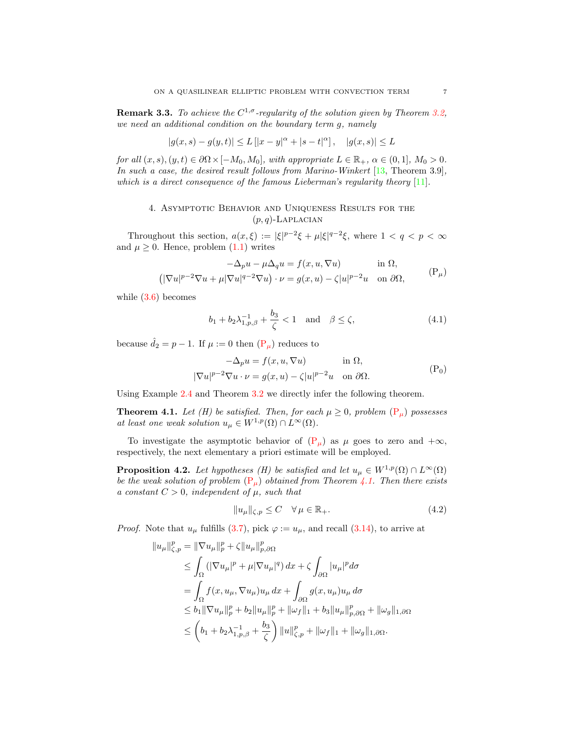**Remark 3.3.** To achieve the  $C^{1,\sigma}$ -regularity of the solution given by Theorem [3.2,](#page-4-10) we need an additional condition on the boundary term g, namely

$$
|g(x, s) - g(y, t)| \le L [|x - y|^{\alpha} + |s - t|^{\alpha}], \quad |g(x, s)| \le L
$$

for all  $(x, s), (y, t) \in \partial\Omega \times [-M_0, M_0]$ , with appropriate  $L \in \mathbb{R}_+$ ,  $\alpha \in (0, 1]$ ,  $M_0 > 0$ . In such a case, the desired result follows from Marino-Winkert [\[13,](#page-11-13) Theorem 3.9], which is a direct consequence of the famous Lieberman's regularity theory  $[11]$ .

## 4. Asymptotic Behavior and Uniqueness Results for the  $(p, q)$ -Laplacian

Throughout this section,  $a(x,\xi) := |\xi|^{p-2}\xi + \mu |\xi|^{q-2}\xi$ , where  $1 < q < p < \infty$ and  $\mu \geq 0$ . Hence, problem  $(1.1)$  writes

<span id="page-6-2"></span>
$$
-\Delta_p u - \mu \Delta_q u = f(x, u, \nabla u) \quad \text{in } \Omega,
$$
  

$$
(|\nabla u|^{p-2} \nabla u + \mu |\nabla u|^{q-2} \nabla u) \cdot \nu = g(x, u) - \zeta |u|^{p-2} u \quad \text{on } \partial \Omega,
$$
 (P<sub>µ</sub>)

while  $(3.6)$  becomes

<span id="page-6-4"></span><span id="page-6-0"></span>
$$
b_1 + b_2 \lambda_{1,p,\beta}^{-1} + \frac{b_3}{\zeta} < 1
$$
 and  $\beta \le \zeta$ , (4.1)

because  $\hat{d}_2 = p - 1$ . If  $\mu := 0$  then  $(\mathbf{P}_{\mu})$  reduces to

<span id="page-6-3"></span>
$$
-\Delta_p u = f(x, u, \nabla u) \quad \text{in } \Omega,
$$
  

$$
|\nabla u|^{p-2} \nabla u \cdot \nu = g(x, u) - \zeta |u|^{p-2} u \quad \text{on } \partial \Omega.
$$
 (P<sub>0</sub>)

Using Example [2.4](#page-3-3) and Theorem [3.2](#page-4-10) we directly infer the following theorem.

<span id="page-6-1"></span>**Theorem 4.1.** Let (H) be satisfied. Then, for each  $\mu \geq 0$ , problem  $(P_{\mu})$  $(P_{\mu})$  possesses at least one weak solution  $u_{\mu} \in W^{1,p}(\Omega) \cap L^{\infty}(\Omega)$ .

To investigate the asymptotic behavior of  $(P_\mu)$  $(P_\mu)$  as  $\mu$  goes to zero and  $+\infty$ , respectively, the next elementary a priori estimate will be employed.

<span id="page-6-5"></span>**Proposition 4.2.** Let hypotheses (H) be satisfied and let  $u_{\mu} \in W^{1,p}(\Omega) \cap L^{\infty}(\Omega)$ be the weak solution of problem  $(P_\mu)$  $(P_\mu)$  obtained from Theorem [4.1.](#page-6-1) Then there exists a constant  $C > 0$ , independent of  $\mu$ , such that

$$
||u_{\mu}||_{\zeta,p} \le C \quad \forall \mu \in \mathbb{R}_{+}.
$$
\n(4.2)

*Proof.* Note that  $u_{\mu}$  fulfills [\(3.7\)](#page-4-3), pick  $\varphi := u_{\mu}$ , and recall [\(3.14\)](#page-5-1), to arrive at

$$
||u_{\mu}||_{\zeta,p}^{p} = ||\nabla u_{\mu}||_{p}^{p} + \zeta ||u_{\mu}||_{p,\partial\Omega}^{p}
$$
  
\n
$$
\leq \int_{\Omega} (|\nabla u_{\mu}|^{p} + \mu |\nabla u_{\mu}|^{q}) dx + \zeta \int_{\partial\Omega} |u_{\mu}|^{p} d\sigma
$$
  
\n
$$
= \int_{\Omega} f(x, u_{\mu}, \nabla u_{\mu}) u_{\mu} dx + \int_{\partial\Omega} g(x, u_{\mu}) u_{\mu} d\sigma
$$
  
\n
$$
\leq b_{1} ||\nabla u_{\mu}||_{p}^{p} + b_{2} ||u_{\mu}||_{p}^{p} + ||\omega_{f}||_{1} + b_{3} ||u_{\mu}||_{p,\partial\Omega}^{p} + ||\omega_{g}||_{1,\partial\Omega}
$$
  
\n
$$
\leq (b_{1} + b_{2}\lambda_{1,p,\beta}^{-1} + \frac{b_{3}}{\zeta}) ||u||_{\zeta,p}^{p} + ||\omega_{f}||_{1} + ||\omega_{g}||_{1,\partial\Omega}.
$$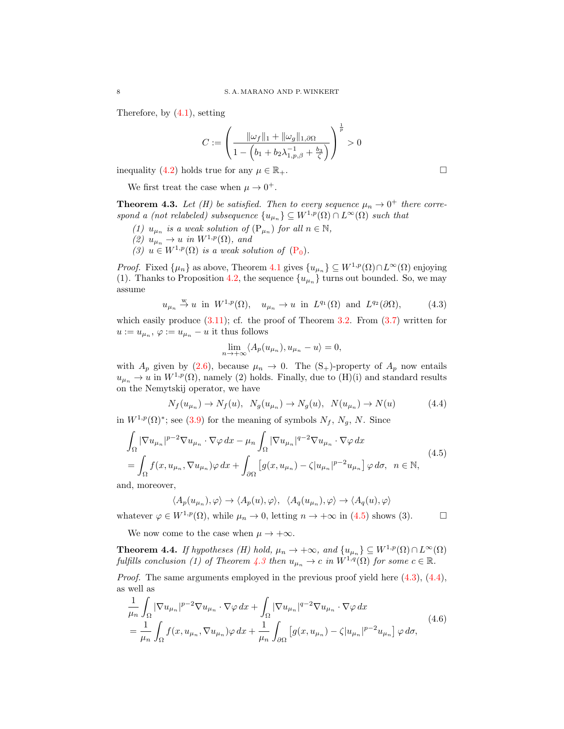Therefore, by [\(4.1\)](#page-6-2), setting

$$
C:=\left(\frac{\|\omega_f\|_1+\|\omega_g\|_{1,\partial\Omega}}{1-\left(b_1+b_2\lambda_{1,p,\beta}^{-1}+\frac{b_3}{\zeta}\right)}\right)^{\frac{1}{p}}>0
$$

inequality [\(4.2\)](#page-6-3) holds true for any  $\mu \in \mathbb{R}_+$ .

We first treat the case when  $\mu \to 0^+$ .

<span id="page-7-1"></span>**Theorem 4.3.** Let (H) be satisfied. Then to every sequence  $\mu_n \to 0^+$  there correspond a (not relabeled) subsequence  $\{u_{\mu_n}\}\subseteq W^{1,p}(\Omega)\cap L^{\infty}(\Omega)$  such that

- (1)  $u_{\mu_n}$  is a weak solution of  $(\mathbf{P}_{\mu_n})$  for all  $n \in \mathbb{N}$ ,
- (2)  $u_{\mu_n} \to u$  in  $W^{1,p}(\Omega)$ , and
- (3)  $u \in W^{1,p}(\Omega)$  is a weak solution of  $(P_0)$  $(P_0)$ .

*Proof.* Fixed  $\{\mu_n\}$  as above, Theorem [4.1](#page-6-1) gives  $\{u_{\mu_n}\}\subseteq W^{1,p}(\Omega)\cap L^{\infty}(\Omega)$  enjoying (1). Thanks to Proposition [4.2,](#page-6-5) the sequence  $\{u_{\mu_n}\}\$  turns out bounded. So, we may assume

$$
u_{\mu_n} \stackrel{\text{w}}{\rightarrow} u
$$
 in  $W^{1,p}(\Omega)$ ,  $u_{\mu_n} \rightarrow u$  in  $L^{q_1}(\Omega)$  and  $L^{q_2}(\partial\Omega)$ ,  $(4.3)$ 

which easily produce  $(3.11)$ ; cf. the proof of Theorem [3.2.](#page-4-10) From  $(3.7)$  written for  $u := u_{\mu_n}, \varphi := u_{\mu_n} - u$  it thus follows

<span id="page-7-3"></span><span id="page-7-0"></span>
$$
\lim_{n \to +\infty} \langle A_p(u_{\mu_n}), u_{\mu_n} - u \rangle = 0,
$$

with  $A_p$  given by [\(2.6\)](#page-3-4), because  $\mu_n \to 0$ . The  $(S_+)$ -property of  $A_p$  now entails  $u_{\mu_n} \to u$  in  $W^{1,p}(\Omega)$ , namely (2) holds. Finally, due to (H)(i) and standard results on the Nemytskij operator, we have

$$
N_f(u_{\mu_n}) \to N_f(u), \ N_g(u_{\mu_n}) \to N_g(u), \ N(u_{\mu_n}) \to N(u) \tag{4.4}
$$

in  $W^{1,p}(\Omega)^*$ ; see [\(3.9\)](#page-4-11) for the meaning of symbols  $N_f$ ,  $N_g$ , N. Since

$$
\int_{\Omega} |\nabla u_{\mu_n}|^{p-2} \nabla u_{\mu_n} \cdot \nabla \varphi \, dx - \mu_n \int_{\Omega} |\nabla u_{\mu_n}|^{q-2} \nabla u_{\mu_n} \cdot \nabla \varphi \, dx
$$
\n
$$
= \int_{\Omega} f(x, u_{\mu_n}, \nabla u_{\mu_n}) \varphi \, dx + \int_{\partial \Omega} \left[ g(x, u_{\mu_n}) - \zeta |u_{\mu_n}|^{p-2} u_{\mu_n} \right] \varphi \, d\sigma, \quad n \in \mathbb{N},
$$
\n(4.5)

and, moreover,

<span id="page-7-4"></span>
$$
\langle A_p(u_{\mu_n}), \varphi \rangle \to \langle A_p(u), \varphi \rangle, \ \ \langle A_q(u_{\mu_n}), \varphi \rangle \to \langle A_q(u), \varphi \rangle
$$

whatever  $\varphi \in W^{1,p}(\Omega)$ , while  $\mu_n \to 0$ , letting  $n \to +\infty$  in [\(4.5\)](#page-7-0) shows (3).

We now come to the case when  $\mu \to +\infty$ .

<span id="page-7-5"></span>**Theorem 4.4.** If hypotheses (H) hold,  $\mu_n \to +\infty$ , and  $\{u_{\mu_n}\}\subseteq W^{1,p}(\Omega) \cap L^{\infty}(\Omega)$ fulfills conclusion (1) of Theorem [4.3](#page-7-1) then  $u_{\mu_n} \to c$  in  $W^{1,q}(\Omega)$  for some  $c \in \mathbb{R}$ .

*Proof.* The same arguments employed in the previous proof yield here  $(4.3)$ ,  $(4.4)$ , as well as

$$
\frac{1}{\mu_n} \int_{\Omega} |\nabla u_{\mu_n}|^{p-2} \nabla u_{\mu_n} \cdot \nabla \varphi \, dx + \int_{\Omega} |\nabla u_{\mu_n}|^{q-2} \nabla u_{\mu_n} \cdot \nabla \varphi \, dx \n= \frac{1}{\mu_n} \int_{\Omega} f(x, u_{\mu_n}, \nabla u_{\mu_n}) \varphi \, dx + \frac{1}{\mu_n} \int_{\partial \Omega} \left[ g(x, u_{\mu_n}) - \zeta |u_{\mu_n}|^{p-2} u_{\mu_n} \right] \varphi \, d\sigma,
$$
\n(4.6)

<span id="page-7-2"></span>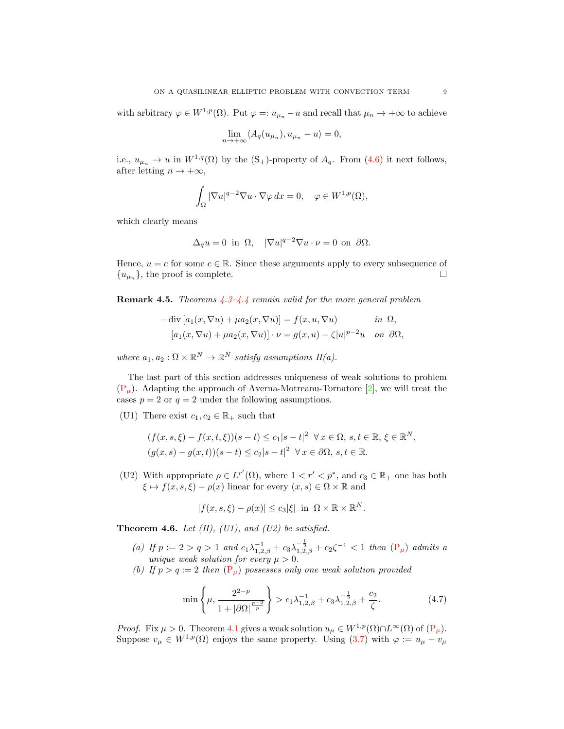with arbitrary  $\varphi \in W^{1,p}(\Omega)$ . Put  $\varphi =: u_{\mu_n} - u$  and recall that  $\mu_n \to +\infty$  to achieve

$$
\lim_{n \to +\infty} \langle A_q(u_{\mu_n}), u_{\mu_n} - u \rangle = 0,
$$

i.e.,  $u_{\mu_n} \to u$  in  $W^{1,q}(\Omega)$  by the  $(S_+)$ -property of  $A_q$ . From [\(4.6\)](#page-7-4) it next follows, after letting  $n \to +\infty$ ,

$$
\int_{\Omega} |\nabla u|^{q-2} \nabla u \cdot \nabla \varphi \, dx = 0, \quad \varphi \in W^{1,p}(\Omega),
$$

which clearly means

$$
\Delta_q u = 0 \text{ in } \Omega, \quad |\nabla u|^{q-2} \nabla u \cdot \nu = 0 \text{ on } \partial \Omega.
$$

Hence,  $u = c$  for some  $c \in \mathbb{R}$ . Since these arguments apply to every subsequence of  $\{u_{\mu_n}\}\$ , the proof is complete.

**Remark 4.5.** Theorems  $4.3-4.4$  $4.3-4.4$  remain valid for the more general problem

$$
-\operatorname{div}\left[a_1(x,\nabla u) + \mu a_2(x,\nabla u)\right] = f(x,u,\nabla u) \quad \text{in } \Omega,
$$
  

$$
\left[a_1(x,\nabla u) + \mu a_2(x,\nabla u)\right] \cdot \nu = g(x,u) - \zeta |u|^{p-2}u \quad \text{on } \partial\Omega,
$$

where  $a_1, a_2 : \overline{\Omega} \times \mathbb{R}^N \to \mathbb{R}^N$  satisfy assumptions  $H(a)$ .

The last part of this section addresses uniqueness of weak solutions to problem  $(P_\mu)$  $(P_\mu)$ . Adapting the approach of Averna-Motreanu-Tornatore [\[2\]](#page-10-0), we will treat the cases  $p = 2$  or  $q = 2$  under the following assumptions.

(U1) There exist  $c_1, c_2 \in \mathbb{R}_+$  such that

$$
(f(x, s, \xi) - f(x, t, \xi))(s - t) \le c_1|s - t|^2 \quad \forall x \in \Omega, s, t \in \mathbb{R}, \xi \in \mathbb{R}^N,
$$
  

$$
(g(x, s) - g(x, t))(s - t) \le c_2|s - t|^2 \quad \forall x \in \partial\Omega, s, t \in \mathbb{R}.
$$

(U2) With appropriate  $\rho \in L^{r'}(\Omega)$ , where  $1 \lt r' \lt p^*$ , and  $c_3 \in \mathbb{R}_+$  one has both  $\xi \mapsto f(x, s, \xi) - \rho(x)$  linear for every  $(x, s) \in \Omega \times \mathbb{R}$  and

<span id="page-8-0"></span>
$$
|f(x, s, \xi) - \rho(x)| \leq c_3 |\xi| \text{ in } \Omega \times \mathbb{R} \times \mathbb{R}^N.
$$

**Theorem 4.6.** Let  $(H)$ ,  $(U1)$ , and  $(U2)$  be satisfied.

- (a) If  $p := 2 > q > 1$  and  $c_1 \lambda_{1,2,\beta}^{-1} + c_3 \lambda_{1,2,\beta}^{-\frac{1}{2}} + c_2 \zeta^{-1} < 1$  then  $(\mathbb{P}_{\mu})$  admits a unique weak solution for every  $\mu > 0$ .
- (b) If  $p > q := 2$  then  $(\mathbf{P}_{\mu})$  possesses only one weak solution provided

$$
\min\left\{\mu, \frac{2^{2-p}}{1+|\partial\Omega|^{\frac{p-2}{p}}}\right\} > c_1\lambda_{1,2,\beta}^{-1} + c_3\lambda_{1,2,\beta}^{-\frac{1}{2}} + \frac{c_2}{\zeta}.\tag{4.7}
$$

*Proof.* Fix  $\mu > 0$ . Theorem [4.1](#page-6-1) gives a weak solution  $u_{\mu} \in W^{1,p}(\Omega) \cap L^{\infty}(\Omega)$  of  $(P_{\mu})$  $(P_{\mu})$ . Suppose  $v_{\mu} \in W^{1,p}(\Omega)$  enjoys the same property. Using [\(3.7\)](#page-4-3) with  $\varphi := u_{\mu} - v_{\mu}$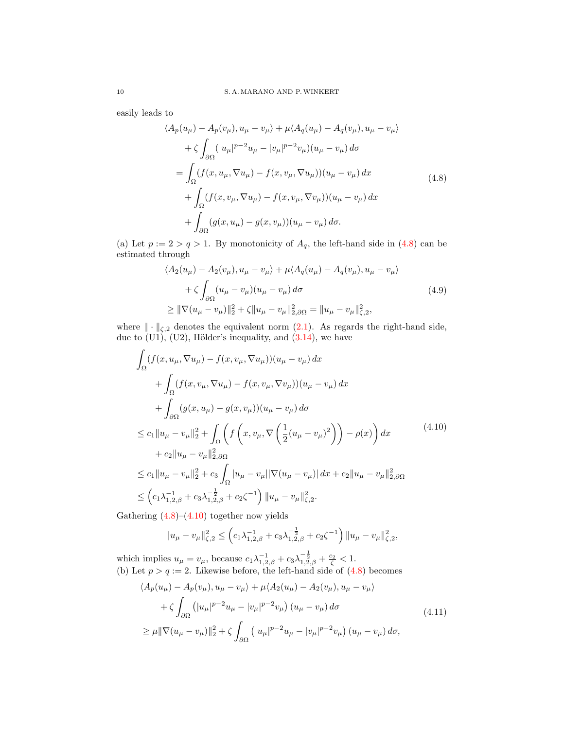easily leads to

<span id="page-9-0"></span>
$$
\langle A_p(u_\mu) - A_p(v_\mu), u_\mu - v_\mu \rangle + \mu \langle A_q(u_\mu) - A_q(v_\mu), u_\mu - v_\mu \rangle
$$
  
+  $\zeta \int_{\partial \Omega} (|u_\mu|^{p-2} u_\mu - |v_\mu|^{p-2} v_\mu) (u_\mu - v_\mu) d\sigma$   
=  $\int_{\Omega} (f(x, u_\mu, \nabla u_\mu) - f(x, v_\mu, \nabla u_\mu)) (u_\mu - v_\mu) dx$   
+  $\int_{\Omega} (f(x, v_\mu, \nabla u_\mu) - f(x, v_\mu, \nabla v_\mu)) (u_\mu - v_\mu) dx$   
+  $\int_{\partial \Omega} (g(x, u_\mu) - g(x, v_\mu)) (u_\mu - v_\mu) d\sigma.$  (4.8)

(a) Let  $p := 2 > q > 1$ . By monotonicity of  $A_q$ , the left-hand side in [\(4.8\)](#page-9-0) can be estimated through

$$
\langle A_2(u_\mu) - A_2(v_\mu), u_\mu - v_\mu \rangle + \mu \langle A_q(u_\mu) - A_q(v_\mu), u_\mu - v_\mu \rangle + \zeta \int_{\partial \Omega} (u_\mu - v_\mu)(u_\mu - v_\mu) d\sigma \geq \|\nabla (u_\mu - v_\mu)\|_2^2 + \zeta \|u_\mu - v_\mu\|_{2, \partial \Omega}^2 = \|u_\mu - v_\mu\|_{\zeta, 2}^2,
$$
\n(4.9)

where  $\|\cdot\|_{\zeta,2}$  denotes the equivalent norm  $(2.1)$ . As regards the right-hand side, due to  $(U1)$ ,  $(U2)$ , Hölder's inequality, and  $(3.14)$ , we have

$$
\int_{\Omega} (f(x, u_{\mu}, \nabla u_{\mu}) - f(x, v_{\mu}, \nabla u_{\mu})) (u_{\mu} - v_{\mu}) dx \n+ \int_{\Omega} (f(x, v_{\mu}, \nabla u_{\mu}) - f(x, v_{\mu}, \nabla v_{\mu})) (u_{\mu} - v_{\mu}) dx \n+ \int_{\partial \Omega} (g(x, u_{\mu}) - g(x, v_{\mu})) (u_{\mu} - v_{\mu}) d\sigma \n\leq c_1 \|u_{\mu} - v_{\mu}\|_2^2 + \int_{\Omega} \left( f\left(x, v_{\mu}, \nabla \left(\frac{1}{2}(u_{\mu} - v_{\mu})^2\right)\right) - \rho(x) \right) dx \n+ c_2 \|u_{\mu} - v_{\mu}\|_{2, \partial \Omega}^2 \n\leq c_1 \|u_{\mu} - v_{\mu}\|_2^2 + c_3 \int_{\Omega} |u_{\mu} - v_{\mu}|| \nabla (u_{\mu} - v_{\mu})| dx + c_2 \|u_{\mu} - v_{\mu}\|_{2, \partial \Omega}^2 \n\leq \left(c_1 \lambda_{1,2, \beta}^{-1} + c_3 \lambda_{1,2, \beta}^{-\frac{1}{2}} + c_2 \zeta^{-1}\right) \|u_{\mu} - v_{\mu}\|_{2,2}^2.
$$
\n
$$
(4.10)
$$

Gathering  $(4.8)$ – $(4.10)$  together now yields

<span id="page-9-2"></span><span id="page-9-1"></span>
$$
||u_{\mu} - v_{\mu}||_{\zeta,2}^{2} \leq \left(c_{1}\lambda_{1,2,\beta}^{-1} + c_{3}\lambda_{1,2,\beta}^{-\frac{1}{2}} + c_{2}\zeta^{-1}\right)||u_{\mu} - v_{\mu}||_{\zeta,2}^{2},
$$

which implies  $u_{\mu} = v_{\mu}$ , because  $c_1 \lambda_{1,2,\beta}^{-1} + c_3 \lambda_{1,2,\beta}^{-\frac{1}{2}} + \frac{c_2}{\zeta} < 1$ . (b) Let  $p > q := 2$ . Likewise before, the left-hand side of  $(4.8)$  becomes

$$
\langle A_p(u_\mu) - A_p(v_\mu), u_\mu - v_\mu \rangle + \mu \langle A_2(u_\mu) - A_2(v_\mu), u_\mu - v_\mu \rangle + \zeta \int_{\partial \Omega} (|u_\mu|^{p-2} u_\mu - |v_\mu|^{p-2} v_\mu) (u_\mu - v_\mu) d\sigma \geq \mu ||\nabla (u_\mu - v_\mu)||_2^2 + \zeta \int_{\partial \Omega} (|u_\mu|^{p-2} u_\mu - |v_\mu|^{p-2} v_\mu) (u_\mu - v_\mu) d\sigma,
$$
\n(4.11)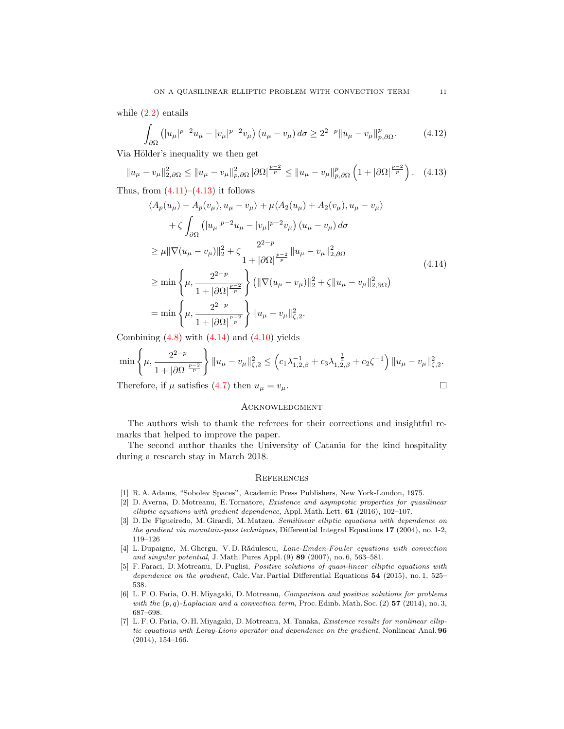while  $(2.2)$  entails

<span id="page-10-7"></span>
$$
\int_{\partial\Omega} \left( |u_{\mu}|^{p-2} u_{\mu} - |v_{\mu}|^{p-2} v_{\mu} \right) (u_{\mu} - v_{\mu}) d\sigma \ge 2^{2-p} \|u_{\mu} - v_{\mu}\|_{p,\partial\Omega}^p. \tag{4.12}
$$

Via Hölder's inequality we then get

$$
||u_{\mu} - v_{\mu}||_{2,\partial\Omega}^{2} \le ||u_{\mu} - v_{\mu}||_{p,\partial\Omega}^{2} |\partial\Omega|^{\frac{p-2}{p}} \le ||u_{\mu} - v_{\mu}||_{p,\partial\Omega}^{p} \left(1 + |\partial\Omega|^{\frac{p-2}{p}}\right). \tag{4.13}
$$

Thus, from  $(4.11)$ – $(4.13)$  it follows

$$
\langle A_p(u_\mu) + A_p(v_\mu), u_\mu - v_\mu \rangle + \mu \langle A_2(u_\mu) + A_2(v_\mu), u_\mu - v_\mu \rangle + \zeta \int_{\partial \Omega} (|u_\mu|^{p-2} u_\mu - |v_\mu|^{p-2} v_\mu) (u_\mu - v_\mu) d\sigma \geq \mu ||\nabla (u_\mu - v_\mu)||_2^2 + \zeta \frac{2^{2-p}}{1 + |\partial \Omega|^{\frac{p-2}{p}}} ||u_\mu - v_\mu||_{2,\partial \Omega}^2 \geq \min \left\{ \mu, \frac{2^{2-p}}{1 + |\partial \Omega|^{\frac{p-2}{p}}} \right\} (||\nabla (u_\mu - v_\mu)||_2^2 + \zeta ||u_\mu - v_\mu||_{2,\partial \Omega}^2) = \min \left\{ \mu, \frac{2^{2-p}}{1 + |\partial \Omega|^{\frac{p-2}{p}}} \right\} ||u_\mu - v_\mu||_{\zeta,2}^2.
$$
\n(4.14)

Combining  $(4.8)$  with  $(4.14)$  and  $(4.10)$  yields

$$
\min\left\{\mu,\frac{2^{2-p}}{1+|\partial\Omega|^{\frac{p-2}{p}}}\right\}\|u_{\mu}-v_{\mu}\|_{\zeta,2}^{2}\leq\left(c_{1}\lambda_{1,2,\beta}^{-1}+c_{3}\lambda_{1,2,\beta}^{-\frac{1}{2}}+c_{2}\zeta^{-1}\right)\|u_{\mu}-v_{\mu}\|_{\zeta,2}^{2}.
$$

Therefore, if  $\mu$  satisfies [\(4.7\)](#page-8-0) then  $u_{\mu} = v_{\mu}$ .

#### <span id="page-10-8"></span>**ACKNOWLEDGMENT**

The authors wish to thank the referees for their corrections and insightful remarks that helped to improve the paper.

The second author thanks the University of Catania for the kind hospitality during a research stay in March 2018.

#### **REFERENCES**

- <span id="page-10-6"></span>[1] R. A. Adams, "Sobolev Spaces", Academic Press Publishers, New York-London, 1975.
- <span id="page-10-0"></span>[2] D. Averna, D. Motreanu, E. Tornatore, Existence and asymptotic properties for quasilinear elliptic equations with gradient dependence, Appl. Math. Lett. 61 (2016), 102–107.
- <span id="page-10-1"></span>[3] D. De Figueiredo, M. Girardi, M. Matzeu, Semilinear elliptic equations with dependence on the gradient via mountain-pass techniques, Differential Integral Equations 17 (2004), no. 1-2, 119–126
- <span id="page-10-2"></span>[4] L. Dupaigne, M. Ghergu, V. D. Rădulescu, Lane-Emden-Fowler equations with convection and singular potential, J. Math. Pures Appl. (9) 89 (2007), no. 6, 563–581.
- <span id="page-10-3"></span>[5] F. Faraci, D. Motreanu, D. Puglisi, Positive solutions of quasi-linear elliptic equations with dependence on the gradient, Calc. Var. Partial Differential Equations 54 (2015), no. 1, 525– 538.
- <span id="page-10-4"></span>[6] L. F. O. Faria, O. H. Miyagaki, D. Motreanu, Comparison and positive solutions for problems with the  $(p, q)$ -Laplacian and a convection term, Proc. Edinb. Math. Soc. (2) 57 (2014), no. 3, 687–698.
- <span id="page-10-5"></span>[7] L. F. O. Faria, O. H. Miyagaki, D. Motreanu, M. Tanaka, Existence results for nonlinear elliptic equations with Leray-Lions operator and dependence on the gradient, Nonlinear Anal. 96 (2014), 154–166.